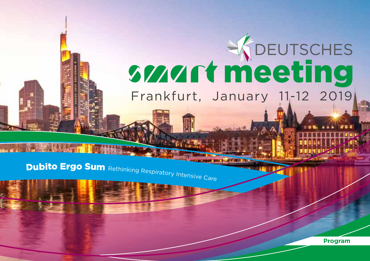# **SMALL WEDEPTSCHES** Frankfurt, January 11-12 2019

Dubito Ergo Sum Rethinking Respiratory Intensive Care

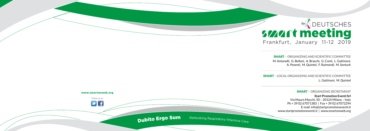

SMART **– ORGANIZING AND SCIENTIFIC COMMITTEE** M. Antonelli, G. Bellani, A. Braschi, G. Conti, L. Gattinoni, A. Pesenti, M. Quintel, F. Raimondi, M. Senturk

SMART **– LOCAL ORGANIZING AND SCIENTIFIC COMMITTEE** L. Gattinoni, M. Quintel



#### SMART **– ORGANIZING SECRETARIAT**

**Start Promotion Eventi Srl** Via Mauro Macchi, 50 – 20124 Milano – Italy Ph + 39 02 67071383 | Fax + 39 02 67072294 E-mail: info@startpromotioneventi.it www.startpromotioneventi.it | www.smartonweb.org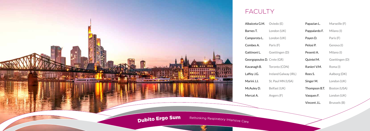| (E)          | Papazian L.   | Marseille (F)  |
|--------------|---------------|----------------|
| (UK)         | Pappalardo F. | Milano (I)     |
| (UK)         | Payen D.      | Paris (F)      |
|              | Pelosi P.     | Genova (I)     |
| gen (D)      | Pesenti A.    | Milano (I)     |
| GR)          | Quintel M.    | Goettingen (D) |
| (CDN)        | Ranieri V.M.  | Roma (I)       |
| Galway (IRL) | Rees S.       | Aalborg (DK)   |
| MN (USA)     | Singer M.     | London (UK)    |
| (UK)         | Thompson B.T. | Boston (USA)   |
| (F)          | Vasques F.    | London (UK)    |
|              | Vincent J.L.  | Brussels (B)   |

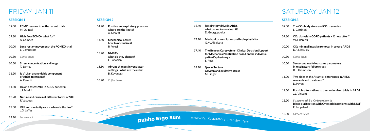## FRIDAY JAN 11 SATURDAY JAN 12

#### SESSION 2

- 14.20 **Positive endexpiratory pressure where are the limits?** A. Mercat
- 14.50 **Mechanical power how to normalize it**  P. Pelosi
- 15.20 **NMBA's what do they change?**  L. Papazian
- 15.50 **Abrupt changes in ventilator settings - what are the risks?** B. Kavanagh
- 16.20 *Coffee break*
- 16.40 **Respiratory drive in ARDS what do we know about it?**  D. Georgopoulos
- 17.10 **Mechanical ventilation and brain plasticity** G.M. Albaiceta
- 17.40 **The Beacon Caresystem Clinical Decision Support for Mechanical Ventilation based on the individual patient's physiology** S. Rees
- 18.10 *Special Lecture* **Oxygen and oxidative stress** M. Singer

**Dubito Ergo Sum** Rethinking Respiratory Intensive Care

#### SESSION 3

- 09.00 **The CO2 body store and CO2 dynamics** L. Gattinoni
- 09.30 **CO2 dialysis in COPD patients if, how often?** V.M. Ranieri
- 10.00 **CO2 minimal invasive removal in severe ARDS**  D.F. McAuley
- 10.30 *Coffee break*
- 10.50 **Sense- and useful outcome parameters in respiratory failure trials**  B.T. Thompson
- 11.20 **Two sides of the Atlantic: differences in ARDS research and treatment?** D. Payen
- 11.50 **Possible alternatives to the randomized trials in ARDS**  J.L. Vincent
- 12.20 Supported By Cytosorbents **Blood purification with Cytosorb in patients with MOF** F. Pappalardo
- 13.00 *Farewell lunch*

#### SESSION 1

- 09.00 **ECMO lessons from the recent trials** M. Quintel
- 09.30 **High flow ECMO what for?** A. Combes
- 10.00 **Lung rest or movement the ROMEO trial**  L. Camporata
- 10.30 *Coffee break*
- 10.50 **Stress concentration and lungs** T. Barnes
- 11.20 **Is VILI an unavoidable component of ARDS treatment?** A. Pesenti
- 11.50 **How to assess VILI in ARDS patients?** J.J. Marini
- 12.20 **Nature and causes of different forms of VILI** F. Vasques
- 12.50 **VILI and mortality rate where is the link?** J.G. Laffey
- 13.20 *Lunch break*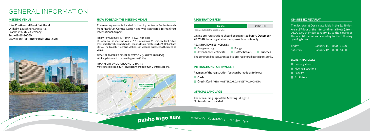#### HOW TO REACH THE MEETING VENUE

The meeting venue is located in the city centre, a 5-minute walk from Frankfurt Central Station and well connected to Frankfurt International Airport.

FROM FRANKFURT INTERNATIONAL AIRPORT Distance to the meeting venue: 12 Km (approx. 20 min. by taxi).Public transport: Direct connection to Frankfurt Central Station by "S-Bahn" lines S8/S9. The Frankfurt Central Station is at walking distance to the meeting venue.

FROM FRANKFURT CENTRAL STATION (HAUPTBAHNHOF) Walking distance to the meeting venue (1 Km).

FRANKFURT UNDERGROUND (U-BAHN) Metro station: Frankfurt Hauptbahnhof (Frankfurt Central Station).



### GENERAL INFORMATION

#### MEETING VENUE

**InterContinental Frankfurt Hotel**  Wilhelm-Leuschner Strasse 43, Frankfurt 60329, Germany Tel: +49-69-26050 www.frankfurt.intercontinental.com



#### REGISTRATION FEES

Online pre-registrations should be submitted before **December 20, 2018**. Later registrations are possible on-site only.

#### **REGISTRATION FEE INCLUDES**

**Congress bag Badge Attendance Certificate** Coffee breaks Lunches

The congress bag is guaranteed to pre-registered participants only.

#### INSTRUCTIONS FOR PAYMENT

Payment of the registration fees can be made as follows:

**Cash**

**Credit Card** (VISA, MASTERCARD, MAESTRO, MONETA)

#### OFFICIAL LANGUAGE

The official language of the Meeting is English. No translation provided.

**Dubito Ergo Sum** Rethinking Respiratory Intensive Care

#### ON-SITE SECRETARIAT

The Secretariat Desk is available in the Exhibition Area (2<sup>nd</sup> floor of the Intercontinental Hotel), from 08.00 a.m. of Friday January 11 to the closing of the scientific sessions, according to the following opening hours:

| Friday   | January 11 8.00 - 19.00 |
|----------|-------------------------|
| Saturday | January 12 8.30 - 14.30 |

#### **SECRETARIAT DESKS**

**Pre-registered**  $\blacksquare$  New registrations  $\blacksquare$  Faculty Exhibitors

| <b>On-site</b>                     | € 320.00 |
|------------------------------------|----------|
| Fees are outside the scope of VAT. |          |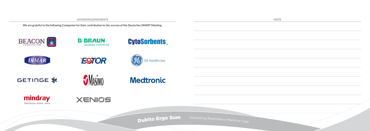#### ACKNOWLEDGEMENTS

We are grateful to the following Companies for their contribution to the success of the Deutsches SMART Meeting.



**NOTE**